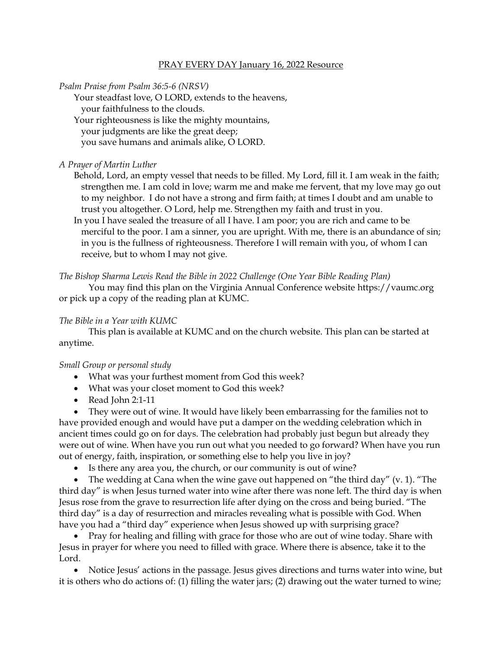## PRAY EVERY DAY January 16, 2022 Resource

*Psalm Praise from Psalm 36:5-6 (NRSV)*

Your steadfast love, O LORD, extends to the heavens,

your faithfulness to the clouds.

Your righteousness is like the mighty mountains,

your judgments are like the great deep;

you save humans and animals alike, O LORD.

## *A Prayer of Martin Luther*

Behold, Lord, an empty vessel that needs to be filled. My Lord, fill it. I am weak in the faith; strengthen me. I am cold in love; warm me and make me fervent, that my love may go out to my neighbor. I do not have a strong and firm faith; at times I doubt and am unable to trust you altogether. O Lord, help me. Strengthen my faith and trust in you.

In you I have sealed the treasure of all I have. I am poor; you are rich and came to be merciful to the poor. I am a sinner, you are upright. With me, there is an abundance of sin; in you is the fullness of righteousness. Therefore I will remain with you, of whom I can receive, but to whom I may not give.

*The Bishop Sharma Lewis Read the Bible in 2022 Challenge (One Year Bible Reading Plan)*

You may find this plan on the Virginia Annual Conference website [https://vaumc.org](https://vaumc.org/) or pick up a copy of the reading plan at KUMC.

## *The Bible in a Year with KUMC*

This plan is available at KUMC and on the church website. This plan can be started at anytime.

## *Small Group or personal study*

- What was your furthest moment from God this week?
- What was your closet moment to God this week?
- Read John 2:1-11

• They were out of wine. It would have likely been embarrassing for the families not to have provided enough and would have put a damper on the wedding celebration which in ancient times could go on for days. The celebration had probably just begun but already they were out of wine. When have you run out what you needed to go forward? When have you run out of energy, faith, inspiration, or something else to help you live in joy?

• Is there any area you, the church, or our community is out of wine?

The wedding at Cana when the wine gave out happened on "the third day"  $(v, 1)$ . "The third day" is when Jesus turned water into wine after there was none left. The third day is when Jesus rose from the grave to resurrection life after dying on the cross and being buried. "The third day" is a day of resurrection and miracles revealing what is possible with God. When have you had a "third day" experience when Jesus showed up with surprising grace?

• Pray for healing and filling with grace for those who are out of wine today. Share with Jesus in prayer for where you need to filled with grace. Where there is absence, take it to the Lord.

• Notice Jesus' actions in the passage. Jesus gives directions and turns water into wine, but it is others who do actions of: (1) filling the water jars; (2) drawing out the water turned to wine;